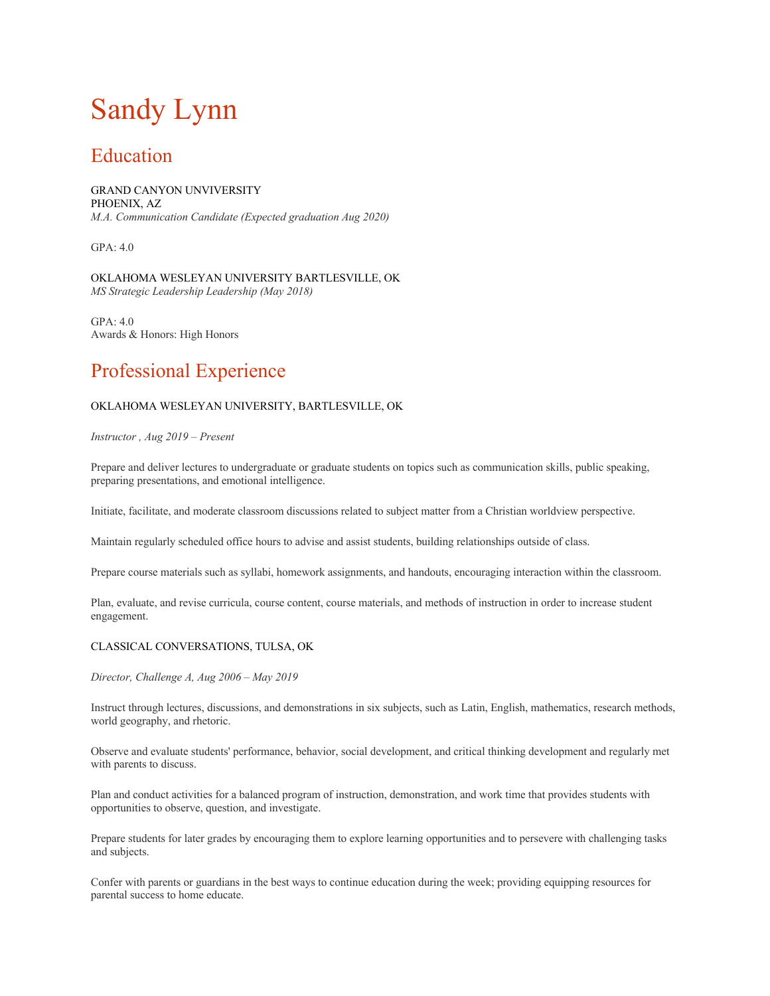# Sandy Lynn

### Education

GRAND CANYON UNVIVERSITY PHOENIX, AZ *M.A. Communication Candidate (Expected graduation Aug 2020)* 

GPA: 4.0

OKLAHOMA WESLEYAN UNIVERSITY BARTLESVILLE, OK *MS Strategic Leadership Leadership (May 2018)* 

GPA: 4.0 Awards & Honors: High Honors

## Professional Experience

#### OKLAHOMA WESLEYAN UNIVERSITY, BARTLESVILLE, OK

*Instructor , Aug 2019 – Present* 

Prepare and deliver lectures to undergraduate or graduate students on topics such as communication skills, public speaking, preparing presentations, and emotional intelligence.

Initiate, facilitate, and moderate classroom discussions related to subject matter from a Christian worldview perspective.

Maintain regularly scheduled office hours to advise and assist students, building relationships outside of class.

Prepare course materials such as syllabi, homework assignments, and handouts, encouraging interaction within the classroom.

Plan, evaluate, and revise curricula, course content, course materials, and methods of instruction in order to increase student engagement.

#### CLASSICAL CONVERSATIONS, TULSA, OK

*Director, Challenge A, Aug 2006 – May 2019* 

Instruct through lectures, discussions, and demonstrations in six subjects, such as Latin, English, mathematics, research methods, world geography, and rhetoric.

Observe and evaluate students' performance, behavior, social development, and critical thinking development and regularly met with parents to discuss.

Plan and conduct activities for a balanced program of instruction, demonstration, and work time that provides students with opportunities to observe, question, and investigate.

Prepare students for later grades by encouraging them to explore learning opportunities and to persevere with challenging tasks and subjects.

Confer with parents or guardians in the best ways to continue education during the week; providing equipping resources for parental success to home educate.